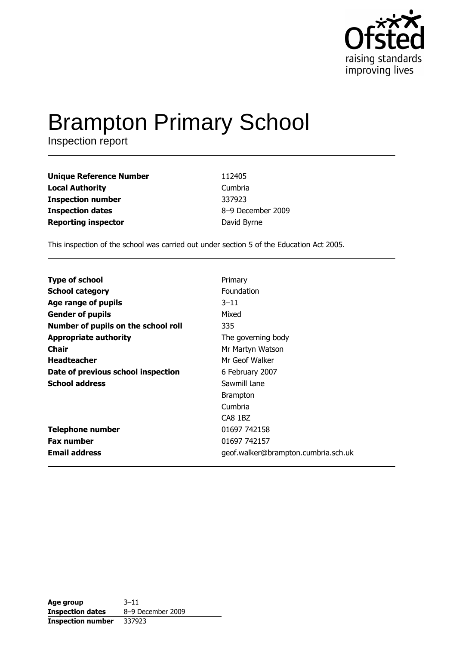

# **Brampton Primary School**

Inspection report

| <b>Unique Reference Number</b> | 112405            |
|--------------------------------|-------------------|
| <b>Local Authority</b>         | Cumbria           |
| <b>Inspection number</b>       | 337923            |
| <b>Inspection dates</b>        | 8-9 December 2009 |
| <b>Reporting inspector</b>     | David Byrne       |

This inspection of the school was carried out under section 5 of the Education Act 2005.

| <b>Type of school</b>               | Primary                             |
|-------------------------------------|-------------------------------------|
| <b>School category</b>              | <b>Foundation</b>                   |
| Age range of pupils                 | $3 - 11$                            |
| <b>Gender of pupils</b>             | Mixed                               |
| Number of pupils on the school roll | 335                                 |
| <b>Appropriate authority</b>        | The governing body                  |
| Chair                               | Mr Martyn Watson                    |
| <b>Headteacher</b>                  | Mr Geof Walker                      |
| Date of previous school inspection  | 6 February 2007                     |
| <b>School address</b>               | Sawmill Lane                        |
|                                     | <b>Brampton</b>                     |
|                                     | Cumbria                             |
|                                     | CA8 1BZ                             |
| <b>Telephone number</b>             | 01697 742158                        |
| <b>Fax number</b>                   | 01697 742157                        |
| <b>Email address</b>                | geof.walker@brampton.cumbria.sch.uk |

| Age group                | $3 - 11$          |
|--------------------------|-------------------|
| <b>Inspection dates</b>  | 8-9 December 2009 |
| <b>Inspection number</b> | 337923            |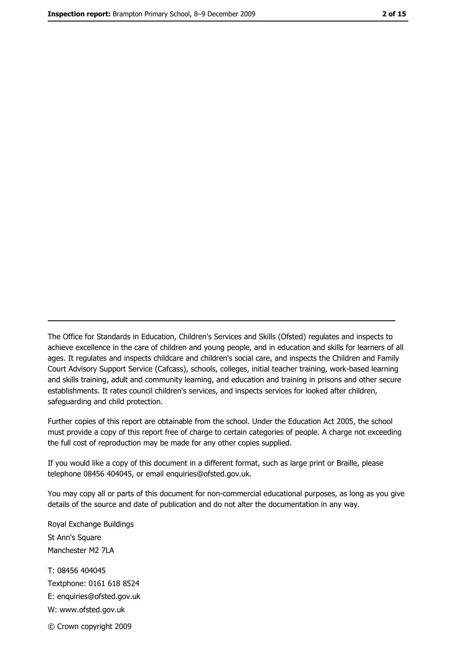The Office for Standards in Education, Children's Services and Skills (Ofsted) regulates and inspects to achieve excellence in the care of children and young people, and in education and skills for learners of all ages. It regulates and inspects childcare and children's social care, and inspects the Children and Family Court Advisory Support Service (Cafcass), schools, colleges, initial teacher training, work-based learning and skills training, adult and community learning, and education and training in prisons and other secure establishments. It rates council children's services, and inspects services for looked after children, safequarding and child protection.

Further copies of this report are obtainable from the school. Under the Education Act 2005, the school must provide a copy of this report free of charge to certain categories of people. A charge not exceeding the full cost of reproduction may be made for any other copies supplied.

If you would like a copy of this document in a different format, such as large print or Braille, please telephone 08456 404045, or email enquiries@ofsted.gov.uk.

You may copy all or parts of this document for non-commercial educational purposes, as long as you give details of the source and date of publication and do not alter the documentation in any way.

Royal Exchange Buildings St Ann's Square Manchester M2 7LA T: 08456 404045 Textphone: 0161 618 8524 E: enquiries@ofsted.gov.uk W: www.ofsted.gov.uk © Crown copyright 2009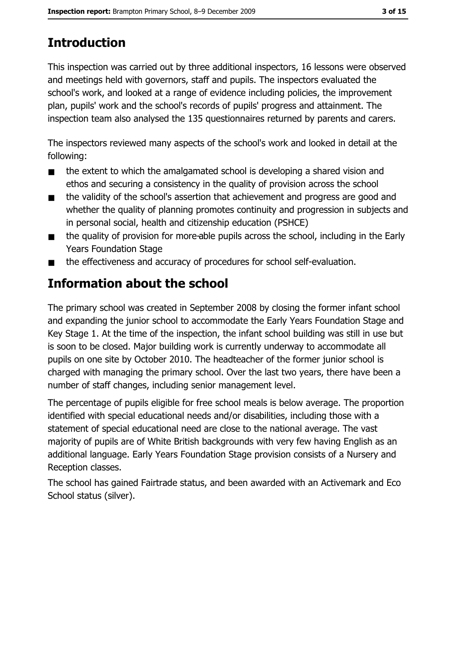# **Introduction**

This inspection was carried out by three additional inspectors, 16 lessons were observed and meetings held with governors, staff and pupils. The inspectors evaluated the school's work, and looked at a range of evidence including policies, the improvement plan, pupils' work and the school's records of pupils' progress and attainment. The inspection team also analysed the 135 questionnaires returned by parents and carers.

The inspectors reviewed many aspects of the school's work and looked in detail at the following:

- the extent to which the amalgamated school is developing a shared vision and  $\blacksquare$ ethos and securing a consistency in the quality of provision across the school
- the validity of the school's assertion that achievement and progress are good and  $\blacksquare$ whether the quality of planning promotes continuity and progression in subjects and in personal social, health and citizenship education (PSHCE)
- the quality of provision for more-able pupils across the school, including in the Early  $\blacksquare$ **Years Foundation Stage**
- the effectiveness and accuracy of procedures for school self-evaluation.  $\blacksquare$

# Information about the school

The primary school was created in September 2008 by closing the former infant school and expanding the junior school to accommodate the Early Years Foundation Stage and Key Stage 1. At the time of the inspection, the infant school building was still in use but is soon to be closed. Major building work is currently underway to accommodate all pupils on one site by October 2010. The headteacher of the former junior school is charged with managing the primary school. Over the last two years, there have been a number of staff changes, including senior management level.

The percentage of pupils eligible for free school meals is below average. The proportion identified with special educational needs and/or disabilities, including those with a statement of special educational need are close to the national average. The vast majority of pupils are of White British backgrounds with very few having English as an additional language. Early Years Foundation Stage provision consists of a Nursery and Reception classes.

The school has gained Fairtrade status, and been awarded with an Activemark and Eco School status (silver).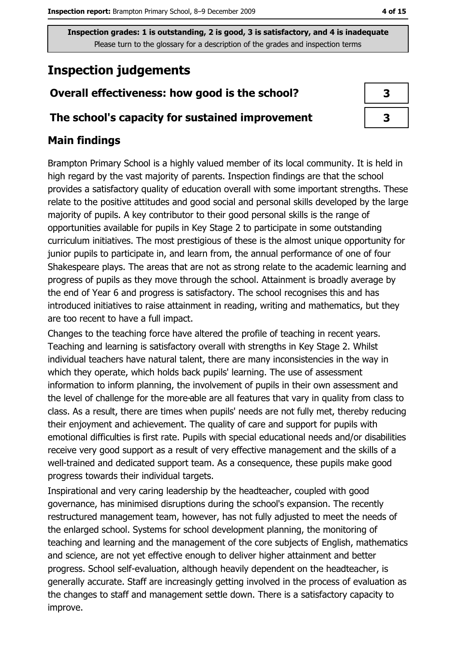# **Inspection judgements**

# Overall effectiveness: how good is the school?

### The school's capacity for sustained improvement

# **Main findings**

Brampton Primary School is a highly valued member of its local community. It is held in high regard by the vast majority of parents. Inspection findings are that the school provides a satisfactory quality of education overall with some important strengths. These relate to the positive attitudes and good social and personal skills developed by the large majority of pupils. A key contributor to their good personal skills is the range of opportunities available for pupils in Key Stage 2 to participate in some outstanding curriculum initiatives. The most prestigious of these is the almost unique opportunity for junior pupils to participate in, and learn from, the annual performance of one of four Shakespeare plays. The areas that are not as strong relate to the academic learning and progress of pupils as they move through the school. Attainment is broadly average by the end of Year 6 and progress is satisfactory. The school recognises this and has introduced initiatives to raise attainment in reading, writing and mathematics, but they are too recent to have a full impact.

Changes to the teaching force have altered the profile of teaching in recent years. Teaching and learning is satisfactory overall with strengths in Key Stage 2. Whilst individual teachers have natural talent, there are many inconsistencies in the way in which they operate, which holds back pupils' learning. The use of assessment information to inform planning, the involvement of pupils in their own assessment and the level of challenge for the more-able are all features that vary in quality from class to class. As a result, there are times when pupils' needs are not fully met, thereby reducing their enjoyment and achievement. The quality of care and support for pupils with emotional difficulties is first rate. Pupils with special educational needs and/or disabilities receive very good support as a result of very effective management and the skills of a well-trained and dedicated support team. As a consequence, these pupils make good progress towards their individual targets.

Inspirational and very caring leadership by the headteacher, coupled with good governance, has minimised disruptions during the school's expansion. The recently restructured management team, however, has not fully adjusted to meet the needs of the enlarged school. Systems for school development planning, the monitoring of teaching and learning and the management of the core subjects of English, mathematics and science, are not yet effective enough to deliver higher attainment and better progress. School self-evaluation, although heavily dependent on the headteacher, is generally accurate. Staff are increasingly getting involved in the process of evaluation as the changes to staff and management settle down. There is a satisfactory capacity to improve.

| 3 |  |
|---|--|
| 3 |  |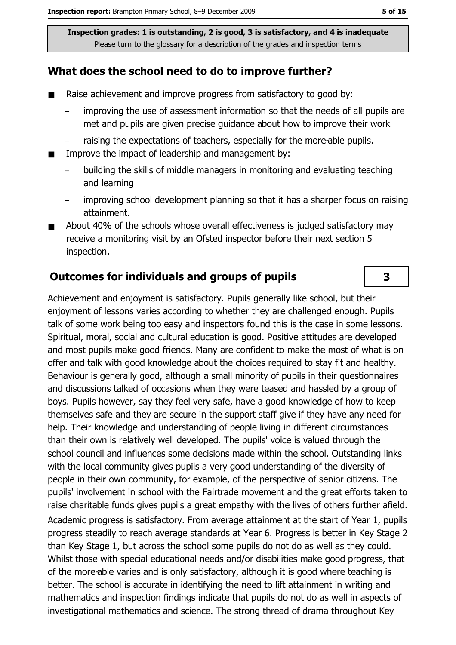### What does the school need to do to improve further?

- $\blacksquare$ Raise achievement and improve progress from satisfactory to good by:
	- improving the use of assessment information so that the needs of all pupils are met and pupils are given precise quidance about how to improve their work
	- raising the expectations of teachers, especially for the more-able pupils.
- Improve the impact of leadership and management by:  $\blacksquare$ 
	- building the skills of middle managers in monitoring and evaluating teaching and learning
	- improving school development planning so that it has a sharper focus on raising attainment.
- About 40% of the schools whose overall effectiveness is judged satisfactory may  $\blacksquare$ receive a monitoring visit by an Ofsted inspector before their next section 5 inspection.

### **Outcomes for individuals and groups of pupils**

Achievement and enjoyment is satisfactory. Pupils generally like school, but their enjoyment of lessons varies according to whether they are challenged enough. Pupils talk of some work being too easy and inspectors found this is the case in some lessons. Spiritual, moral, social and cultural education is good. Positive attitudes are developed and most pupils make good friends. Many are confident to make the most of what is on offer and talk with good knowledge about the choices required to stay fit and healthy. Behaviour is generally good, although a small minority of pupils in their questionnaires and discussions talked of occasions when they were teased and hassled by a group of boys. Pupils however, say they feel very safe, have a good knowledge of how to keep themselves safe and they are secure in the support staff give if they have any need for help. Their knowledge and understanding of people living in different circumstances than their own is relatively well developed. The pupils' voice is valued through the school council and influences some decisions made within the school. Outstanding links with the local community gives pupils a very good understanding of the diversity of people in their own community, for example, of the perspective of senior citizens. The pupils' involvement in school with the Fairtrade movement and the great efforts taken to raise charitable funds gives pupils a great empathy with the lives of others further afield. Academic progress is satisfactory. From average attainment at the start of Year 1, pupils progress steadily to reach average standards at Year 6. Progress is better in Key Stage 2 than Key Stage 1, but across the school some pupils do not do as well as they could. Whilst those with special educational needs and/or disabilities make good progress, that of the more-able varies and is only satisfactory, although it is good where teaching is better. The school is accurate in identifying the need to lift attainment in writing and mathematics and inspection findings indicate that pupils do not do as well in aspects of investigational mathematics and science. The strong thread of drama throughout Key

 $\overline{\mathbf{3}}$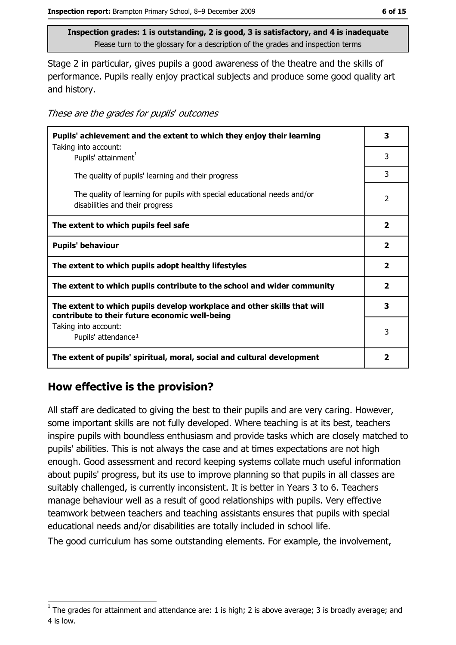Stage 2 in particular, gives pupils a good awareness of the theatre and the skills of performance. Pupils really enjoy practical subjects and produce some good quality art and history.

These are the grades for pupils' outcomes

| Pupils' achievement and the extent to which they enjoy their learning                                                     |                          |  |
|---------------------------------------------------------------------------------------------------------------------------|--------------------------|--|
| Taking into account:<br>Pupils' attainment <sup>1</sup>                                                                   | 3                        |  |
| The quality of pupils' learning and their progress                                                                        | 3                        |  |
| The quality of learning for pupils with special educational needs and/or<br>disabilities and their progress               | $\overline{\phantom{a}}$ |  |
| The extent to which pupils feel safe                                                                                      | $\mathbf{2}$             |  |
| <b>Pupils' behaviour</b>                                                                                                  | $\mathbf{2}$             |  |
| The extent to which pupils adopt healthy lifestyles                                                                       | $\mathbf{2}$             |  |
| The extent to which pupils contribute to the school and wider community                                                   |                          |  |
| The extent to which pupils develop workplace and other skills that will<br>contribute to their future economic well-being | 3                        |  |
| Taking into account:<br>Pupils' attendance <sup>1</sup>                                                                   | 3                        |  |
| The extent of pupils' spiritual, moral, social and cultural development                                                   | 2                        |  |

# How effective is the provision?

All staff are dedicated to giving the best to their pupils and are very caring. However, some important skills are not fully developed. Where teaching is at its best, teachers inspire pupils with boundless enthusiasm and provide tasks which are closely matched to pupils' abilities. This is not always the case and at times expectations are not high enough. Good assessment and record keeping systems collate much useful information about pupils' progress, but its use to improve planning so that pupils in all classes are suitably challenged, is currently inconsistent. It is better in Years 3 to 6. Teachers manage behaviour well as a result of good relationships with pupils. Very effective teamwork between teachers and teaching assistants ensures that pupils with special educational needs and/or disabilities are totally included in school life.

The good curriculum has some outstanding elements. For example, the involvement,

The grades for attainment and attendance are: 1 is high; 2 is above average; 3 is broadly average; and 4 is low.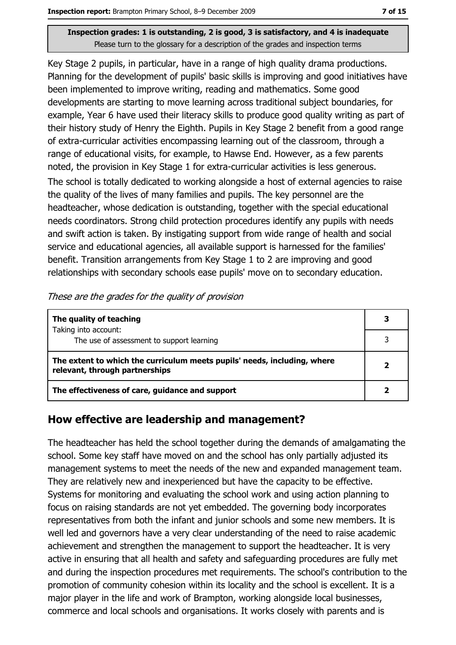Key Stage 2 pupils, in particular, have in a range of high quality drama productions. Planning for the development of pupils' basic skills is improving and good initiatives have been implemented to improve writing, reading and mathematics. Some good developments are starting to move learning across traditional subject boundaries, for example, Year 6 have used their literacy skills to produce good quality writing as part of their history study of Henry the Eighth. Pupils in Key Stage 2 benefit from a good range of extra-curricular activities encompassing learning out of the classroom, through a range of educational visits, for example, to Hawse End. However, as a few parents noted, the provision in Key Stage 1 for extra-curricular activities is less generous.

The school is totally dedicated to working alongside a host of external agencies to raise the quality of the lives of many families and pupils. The key personnel are the headteacher, whose dedication is outstanding, together with the special educational needs coordinators. Strong child protection procedures identify any pupils with needs and swift action is taken. By instigating support from wide range of health and social service and educational agencies, all available support is harnessed for the families' benefit. Transition arrangements from Key Stage 1 to 2 are improving and good relationships with secondary schools ease pupils' move on to secondary education.

|  | These are the grades for the quality of provision |  |  |
|--|---------------------------------------------------|--|--|
|  |                                                   |  |  |

| The quality of teaching                                                                                    | 3 |
|------------------------------------------------------------------------------------------------------------|---|
| Taking into account:<br>The use of assessment to support learning                                          |   |
| The extent to which the curriculum meets pupils' needs, including, where<br>relevant, through partnerships |   |
| The effectiveness of care, guidance and support                                                            |   |

### How effective are leadership and management?

The headteacher has held the school together during the demands of amalgamating the school. Some key staff have moved on and the school has only partially adjusted its management systems to meet the needs of the new and expanded management team. They are relatively new and inexperienced but have the capacity to be effective. Systems for monitoring and evaluating the school work and using action planning to focus on raising standards are not yet embedded. The governing body incorporates representatives from both the infant and junior schools and some new members. It is well led and governors have a very clear understanding of the need to raise academic achievement and strengthen the management to support the headteacher. It is very active in ensuring that all health and safety and safeguarding procedures are fully met and during the inspection procedures met requirements. The school's contribution to the promotion of community cohesion within its locality and the school is excellent. It is a major player in the life and work of Brampton, working alongside local businesses, commerce and local schools and organisations. It works closely with parents and is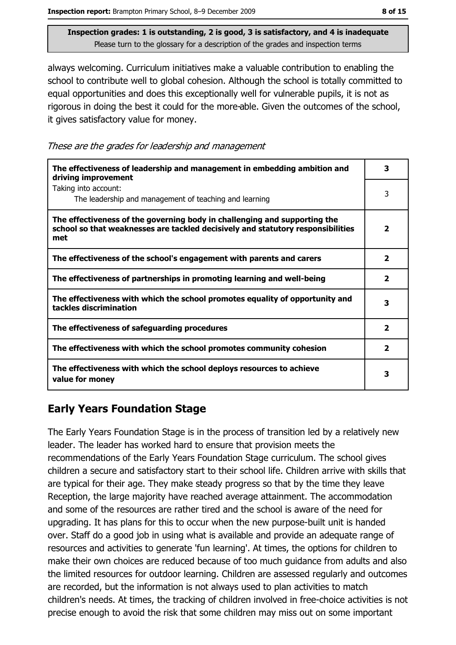always welcoming. Curriculum initiatives make a valuable contribution to enabling the school to contribute well to global cohesion. Although the school is totally committed to equal opportunities and does this exceptionally well for vulnerable pupils, it is not as rigorous in doing the best it could for the more-able. Given the outcomes of the school, it gives satisfactory value for money.

These are the grades for leadership and management

| The effectiveness of leadership and management in embedding ambition and<br>driving improvement                                                                     | 3                       |
|---------------------------------------------------------------------------------------------------------------------------------------------------------------------|-------------------------|
| Taking into account:<br>The leadership and management of teaching and learning                                                                                      | 3                       |
| The effectiveness of the governing body in challenging and supporting the<br>school so that weaknesses are tackled decisively and statutory responsibilities<br>met | $\overline{\mathbf{2}}$ |
| The effectiveness of the school's engagement with parents and carers                                                                                                | $\overline{\mathbf{2}}$ |
| The effectiveness of partnerships in promoting learning and well-being                                                                                              | 2                       |
| The effectiveness with which the school promotes equality of opportunity and<br>tackles discrimination                                                              | 3                       |
| The effectiveness of safeguarding procedures                                                                                                                        | $\overline{\mathbf{2}}$ |
| The effectiveness with which the school promotes community cohesion                                                                                                 | $\overline{\mathbf{2}}$ |
| The effectiveness with which the school deploys resources to achieve<br>value for money                                                                             | 3                       |

# **Early Years Foundation Stage**

The Early Years Foundation Stage is in the process of transition led by a relatively new leader. The leader has worked hard to ensure that provision meets the recommendations of the Early Years Foundation Stage curriculum. The school gives children a secure and satisfactory start to their school life. Children arrive with skills that are typical for their age. They make steady progress so that by the time they leave Reception, the large majority have reached average attainment. The accommodation and some of the resources are rather tired and the school is aware of the need for upgrading. It has plans for this to occur when the new purpose-built unit is handed over. Staff do a good job in using what is available and provide an adequate range of resources and activities to generate 'fun learning'. At times, the options for children to make their own choices are reduced because of too much quidance from adults and also the limited resources for outdoor learning. Children are assessed regularly and outcomes are recorded, but the information is not always used to plan activities to match children's needs. At times, the tracking of children involved in free-choice activities is not precise enough to avoid the risk that some children may miss out on some important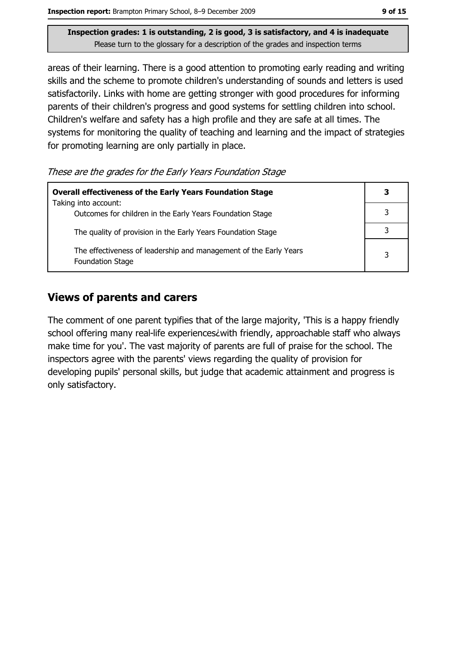areas of their learning. There is a good attention to promoting early reading and writing skills and the scheme to promote children's understanding of sounds and letters is used satisfactorily. Links with home are getting stronger with good procedures for informing parents of their children's progress and good systems for settling children into school. Children's welfare and safety has a high profile and they are safe at all times. The systems for monitoring the quality of teaching and learning and the impact of strategies for promoting learning are only partially in place.

These are the grades for the Early Years Foundation Stage

| <b>Overall effectiveness of the Early Years Foundation Stage</b><br>Taking into account:     |   |
|----------------------------------------------------------------------------------------------|---|
| Outcomes for children in the Early Years Foundation Stage                                    |   |
| The quality of provision in the Early Years Foundation Stage                                 |   |
| The effectiveness of leadership and management of the Early Years<br><b>Foundation Stage</b> | 3 |

### **Views of parents and carers**

The comment of one parent typifies that of the large majority, 'This is a happy friendly school offering many real-life experiences i with friendly, approachable staff who always make time for you'. The vast majority of parents are full of praise for the school. The inspectors agree with the parents' views regarding the quality of provision for developing pupils' personal skills, but judge that academic attainment and progress is only satisfactory.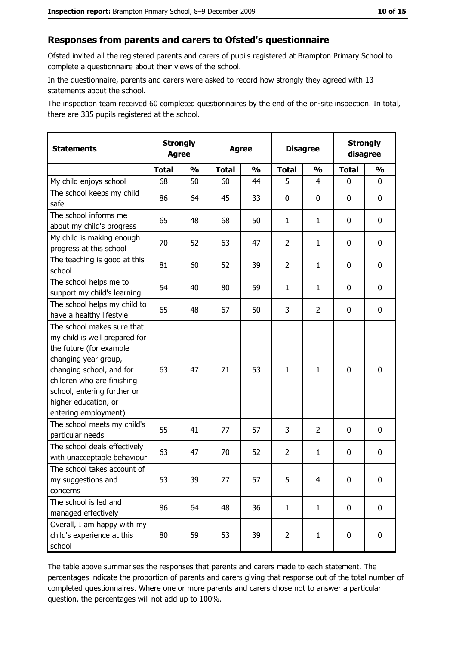#### Responses from parents and carers to Ofsted's questionnaire

Ofsted invited all the registered parents and carers of pupils registered at Brampton Primary School to complete a questionnaire about their views of the school.

In the questionnaire, parents and carers were asked to record how strongly they agreed with 13 statements about the school.

The inspection team received 60 completed questionnaires by the end of the on-site inspection. In total, there are 335 pupils registered at the school.

| <b>Statements</b>                                                                                                                                                                                                                                       | <b>Strongly</b><br><b>Agree</b> |               | <b>Agree</b> |               | <b>Disagree</b> |               |              | <b>Strongly</b><br>disagree |
|---------------------------------------------------------------------------------------------------------------------------------------------------------------------------------------------------------------------------------------------------------|---------------------------------|---------------|--------------|---------------|-----------------|---------------|--------------|-----------------------------|
|                                                                                                                                                                                                                                                         | <b>Total</b>                    | $\frac{1}{2}$ | <b>Total</b> | $\frac{0}{0}$ | <b>Total</b>    | $\frac{0}{0}$ | <b>Total</b> | $\frac{1}{2}$               |
| My child enjoys school                                                                                                                                                                                                                                  | 68                              | 50            | 60           | 44            | 5               | 4             | $\Omega$     | 0                           |
| The school keeps my child<br>safe                                                                                                                                                                                                                       | 86                              | 64            | 45           | 33            | 0               | 0             | 0            | $\mathbf 0$                 |
| The school informs me<br>about my child's progress                                                                                                                                                                                                      | 65                              | 48            | 68           | 50            | $\mathbf{1}$    | $\mathbf{1}$  | 0            | $\mathbf 0$                 |
| My child is making enough<br>progress at this school                                                                                                                                                                                                    | 70                              | 52            | 63           | 47            | $\overline{2}$  | $\mathbf{1}$  | 0            | 0                           |
| The teaching is good at this<br>school                                                                                                                                                                                                                  | 81                              | 60            | 52           | 39            | $\overline{2}$  | $\mathbf{1}$  | 0            | 0                           |
| The school helps me to<br>support my child's learning                                                                                                                                                                                                   | 54                              | 40            | 80           | 59            | $\mathbf{1}$    | $\mathbf{1}$  | 0            | 0                           |
| The school helps my child to<br>have a healthy lifestyle                                                                                                                                                                                                | 65                              | 48            | 67           | 50            | 3               | 2             | 0            | $\mathbf 0$                 |
| The school makes sure that<br>my child is well prepared for<br>the future (for example<br>changing year group,<br>changing school, and for<br>children who are finishing<br>school, entering further or<br>higher education, or<br>entering employment) | 63                              | 47            | 71           | 53            | $\mathbf{1}$    | 1             | $\mathbf 0$  | $\mathbf 0$                 |
| The school meets my child's<br>particular needs                                                                                                                                                                                                         | 55                              | 41            | 77           | 57            | 3               | 2             | 0            | 0                           |
| The school deals effectively<br>with unacceptable behaviour                                                                                                                                                                                             | 63                              | 47            | 70           | 52            | $\overline{2}$  | $\mathbf{1}$  | 0            | $\mathbf 0$                 |
| The school takes account of<br>my suggestions and<br>concerns                                                                                                                                                                                           | 53                              | 39            | 77           | 57            | 5               | 4             | 0            | 0                           |
| The school is led and<br>managed effectively                                                                                                                                                                                                            | 86                              | 64            | 48           | 36            | $\mathbf{1}$    | $\mathbf{1}$  | $\bf{0}$     | $\mathbf 0$                 |
| Overall, I am happy with my<br>child's experience at this<br>school                                                                                                                                                                                     | 80                              | 59            | 53           | 39            | $\overline{2}$  | $\mathbf{1}$  | $\mathbf 0$  | $\mathbf 0$                 |

The table above summarises the responses that parents and carers made to each statement. The percentages indicate the proportion of parents and carers giving that response out of the total number of completed questionnaires. Where one or more parents and carers chose not to answer a particular question, the percentages will not add up to 100%.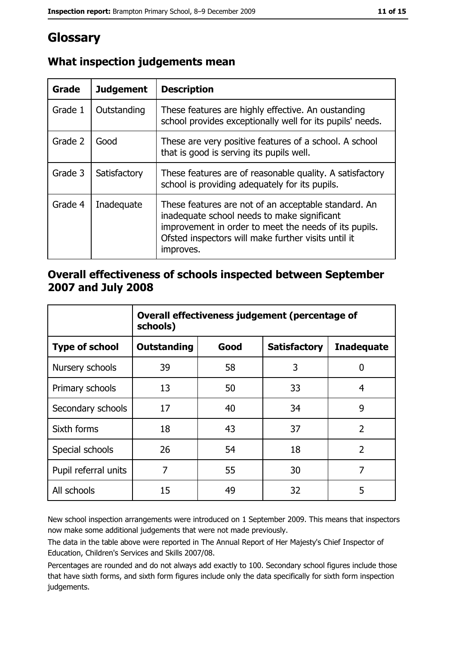# Glossary

| Grade   | <b>Judgement</b> | <b>Description</b>                                                                                                                                                                                                               |
|---------|------------------|----------------------------------------------------------------------------------------------------------------------------------------------------------------------------------------------------------------------------------|
| Grade 1 | Outstanding      | These features are highly effective. An oustanding<br>school provides exceptionally well for its pupils' needs.                                                                                                                  |
| Grade 2 | Good             | These are very positive features of a school. A school<br>that is good is serving its pupils well.                                                                                                                               |
| Grade 3 | Satisfactory     | These features are of reasonable quality. A satisfactory<br>school is providing adequately for its pupils.                                                                                                                       |
| Grade 4 | Inadequate       | These features are not of an acceptable standard. An<br>inadequate school needs to make significant<br>improvement in order to meet the needs of its pupils.<br>Ofsted inspectors will make further visits until it<br>improves. |

# What inspection judgements mean

# Overall effectiveness of schools inspected between September 2007 and July 2008

|                       | Overall effectiveness judgement (percentage of<br>schools) |      |                     |                   |  |  |
|-----------------------|------------------------------------------------------------|------|---------------------|-------------------|--|--|
| <b>Type of school</b> | <b>Outstanding</b>                                         | Good | <b>Satisfactory</b> | <b>Inadequate</b> |  |  |
| Nursery schools       | 39                                                         | 58   | 3                   | 0                 |  |  |
| Primary schools       | 13                                                         | 50   | 33                  | 4                 |  |  |
| Secondary schools     | 17                                                         | 40   | 34                  | 9                 |  |  |
| Sixth forms           | 18                                                         | 43   | 37                  | $\overline{2}$    |  |  |
| Special schools       | 26                                                         | 54   | 18                  | $\overline{2}$    |  |  |
| Pupil referral units  | 7                                                          | 55   | 30                  | 7                 |  |  |
| All schools           | 15                                                         | 49   | 32                  | 5                 |  |  |

New school inspection arrangements were introduced on 1 September 2009. This means that inspectors now make some additional judgements that were not made previously.

The data in the table above were reported in The Annual Report of Her Majesty's Chief Inspector of Education, Children's Services and Skills 2007/08.

Percentages are rounded and do not always add exactly to 100. Secondary school figures include those that have sixth forms, and sixth form figures include only the data specifically for sixth form inspection judgements.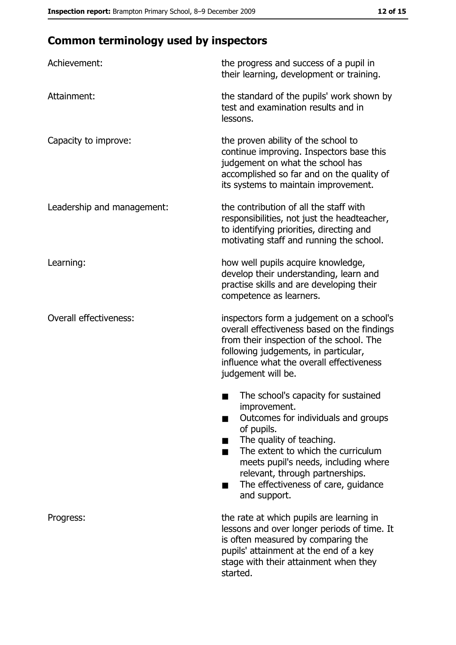# **Common terminology used by inspectors**

| Achievement:                  | the progress and success of a pupil in<br>their learning, development or training.                                                                                                                                                                                                                                |
|-------------------------------|-------------------------------------------------------------------------------------------------------------------------------------------------------------------------------------------------------------------------------------------------------------------------------------------------------------------|
| Attainment:                   | the standard of the pupils' work shown by<br>test and examination results and in<br>lessons.                                                                                                                                                                                                                      |
| Capacity to improve:          | the proven ability of the school to<br>continue improving. Inspectors base this<br>judgement on what the school has<br>accomplished so far and on the quality of<br>its systems to maintain improvement.                                                                                                          |
| Leadership and management:    | the contribution of all the staff with<br>responsibilities, not just the headteacher,<br>to identifying priorities, directing and<br>motivating staff and running the school.                                                                                                                                     |
| Learning:                     | how well pupils acquire knowledge,<br>develop their understanding, learn and<br>practise skills and are developing their<br>competence as learners.                                                                                                                                                               |
| <b>Overall effectiveness:</b> | inspectors form a judgement on a school's<br>overall effectiveness based on the findings<br>from their inspection of the school. The<br>following judgements, in particular,<br>influence what the overall effectiveness<br>judgement will be.                                                                    |
|                               | The school's capacity for sustained<br>improvement.<br>Outcomes for individuals and groups<br>of pupils.<br>The quality of teaching.<br>The extent to which the curriculum<br>meets pupil's needs, including where<br>relevant, through partnerships.<br>The effectiveness of care, guidance<br>٠<br>and support. |
| Progress:                     | the rate at which pupils are learning in<br>lessons and over longer periods of time. It<br>is often measured by comparing the<br>pupils' attainment at the end of a key<br>stage with their attainment when they<br>started.                                                                                      |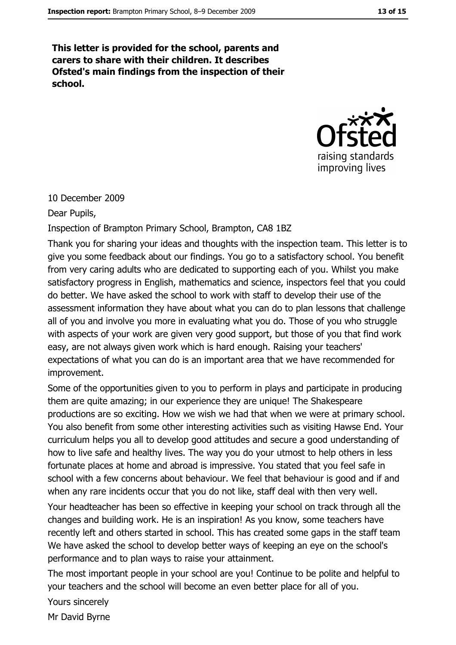This letter is provided for the school, parents and carers to share with their children. It describes Ofsted's main findings from the inspection of their school.



#### 10 December 2009

Dear Pupils,

Inspection of Brampton Primary School, Brampton, CA8 1BZ

Thank you for sharing your ideas and thoughts with the inspection team. This letter is to give you some feedback about our findings. You go to a satisfactory school. You benefit from very caring adults who are dedicated to supporting each of you. Whilst you make satisfactory progress in English, mathematics and science, inspectors feel that you could do better. We have asked the school to work with staff to develop their use of the assessment information they have about what you can do to plan lessons that challenge all of you and involve you more in evaluating what you do. Those of you who struggle with aspects of your work are given very good support, but those of you that find work easy, are not always given work which is hard enough. Raising your teachers' expectations of what you can do is an important area that we have recommended for improvement.

Some of the opportunities given to you to perform in plays and participate in producing them are quite amazing; in our experience they are unique! The Shakespeare productions are so exciting. How we wish we had that when we were at primary school. You also benefit from some other interesting activities such as visiting Hawse End. Your curriculum helps you all to develop good attitudes and secure a good understanding of how to live safe and healthy lives. The way you do your utmost to help others in less fortunate places at home and abroad is impressive. You stated that you feel safe in school with a few concerns about behaviour. We feel that behaviour is good and if and when any rare incidents occur that you do not like, staff deal with then very well.

Your headteacher has been so effective in keeping your school on track through all the changes and building work. He is an inspiration! As you know, some teachers have recently left and others started in school. This has created some gaps in the staff team We have asked the school to develop better ways of keeping an eye on the school's performance and to plan ways to raise your attainment.

The most important people in your school are you! Continue to be polite and helpful to your teachers and the school will become an even better place for all of you.

Yours sincerely

Mr David Byrne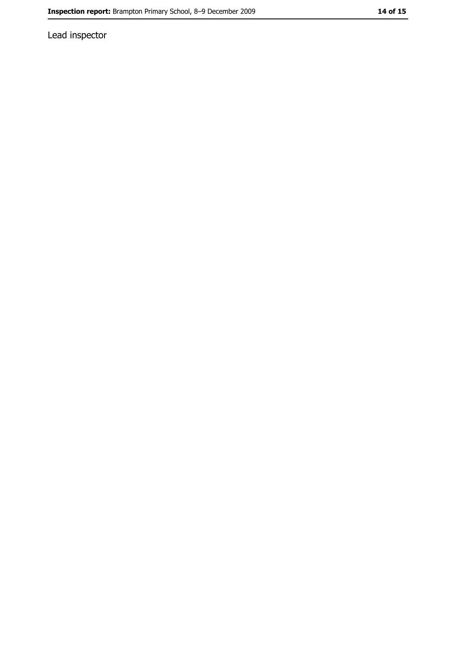Lead inspector